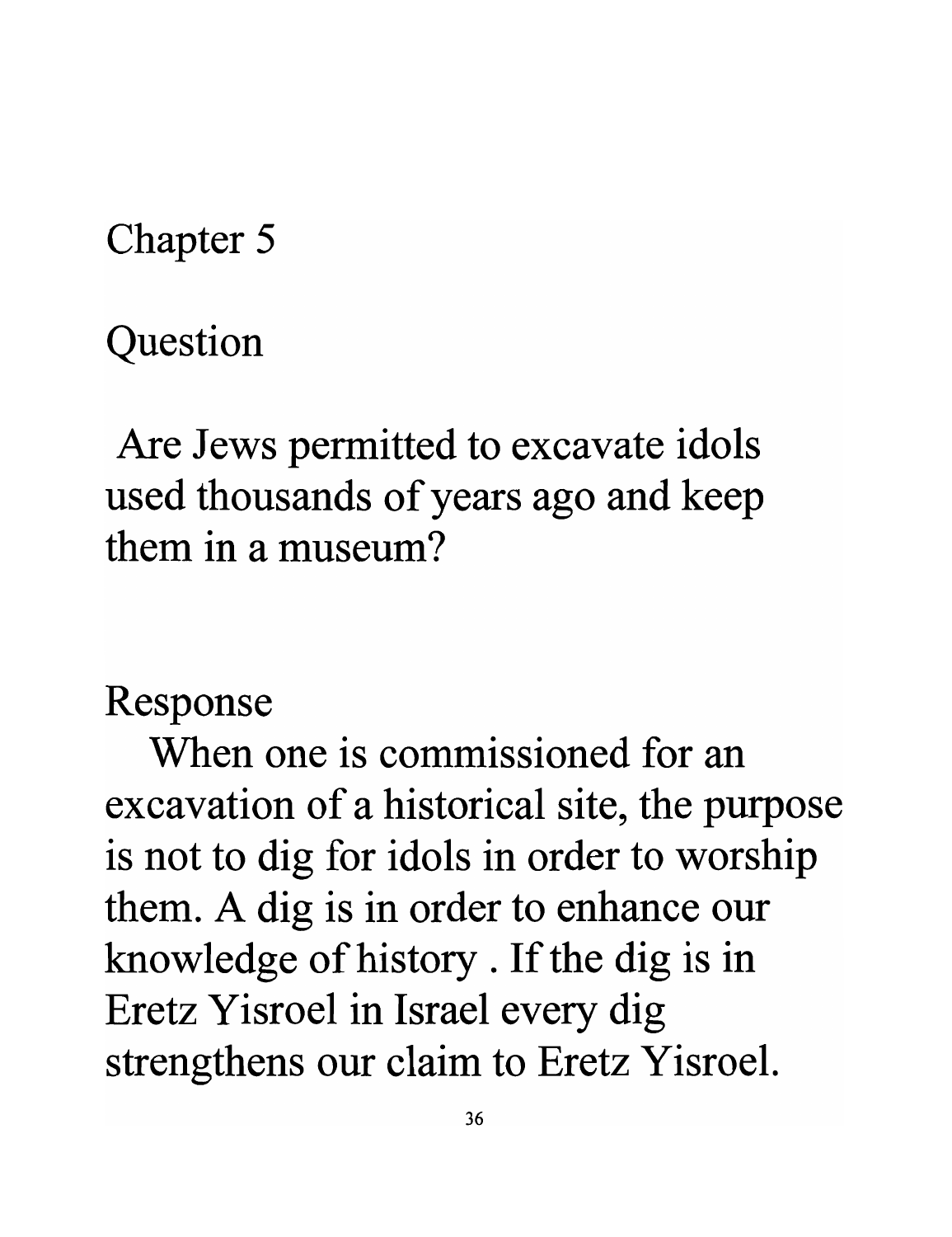Chapter 5

Question

Are Jews permitted to excavate idols used thousands of years ago and keep **them in a museum?** 

## Response

**When one is commissioned for an**  excavation of a historical site, the purpose is not to dig for idols in order to worship them. A dig is in order to enhance our knowledge of history . If the dig is in Eretz Yisroel in Israel every dig strengthens our claim to Eretz Yisroel.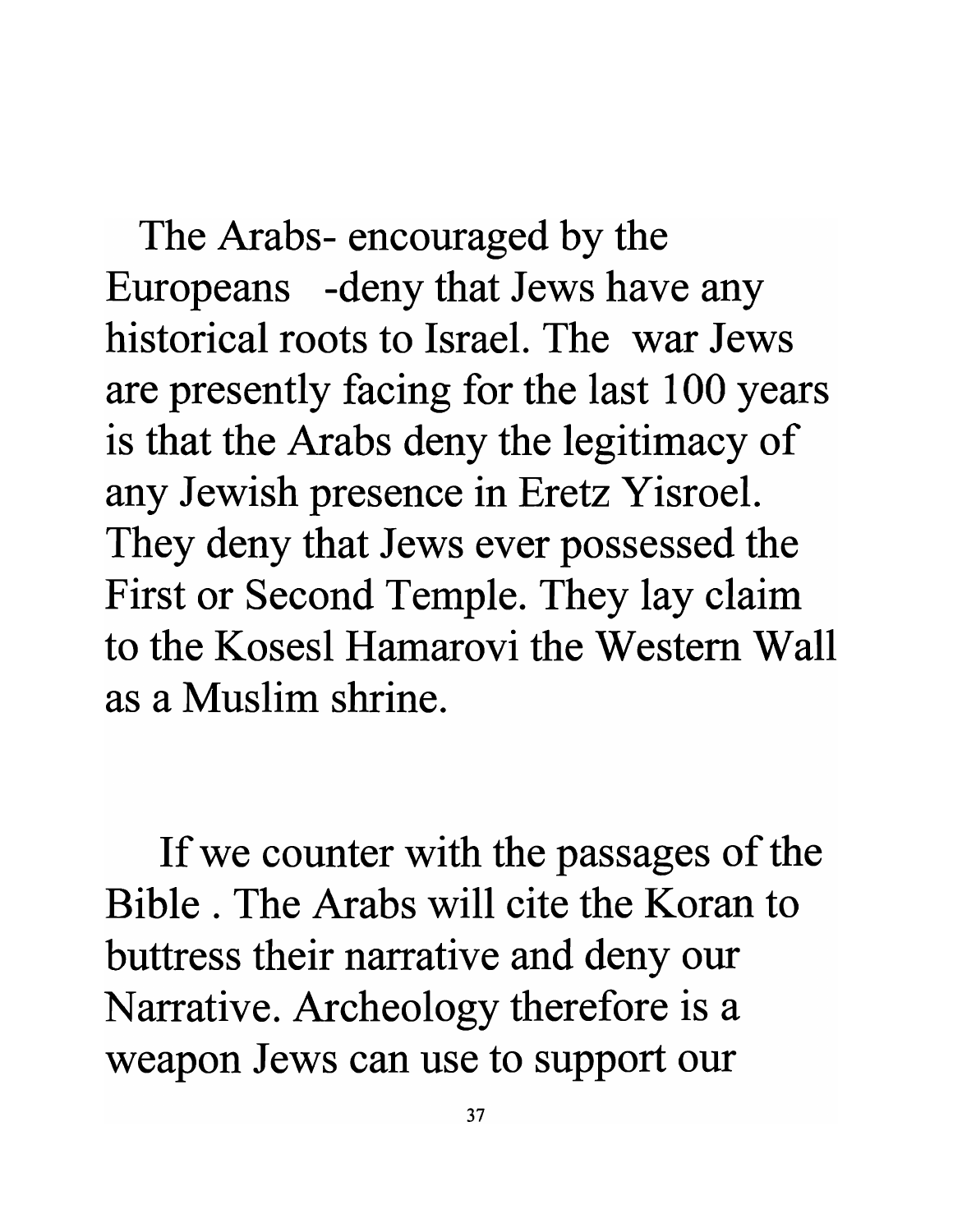The Arabs- encouraged by the Europeans -deny that Jews have any historical roots to Israel. The war Jews are presently facing for the last 100 years is that the Arabs deny the legitimacy of any Jewish presence in Eretz Yisroel. They deny that Jews ever possessed the First or Second Temple. They lay claim to the Kosesl Hamarovi the Western Wall as a Muslim shrine.

If we counter with the passages of the Bible. The Arabs will cite the Koran to buttress their narrative and deny our Narrative. Archeology therefore is a weapon Jews can use to support our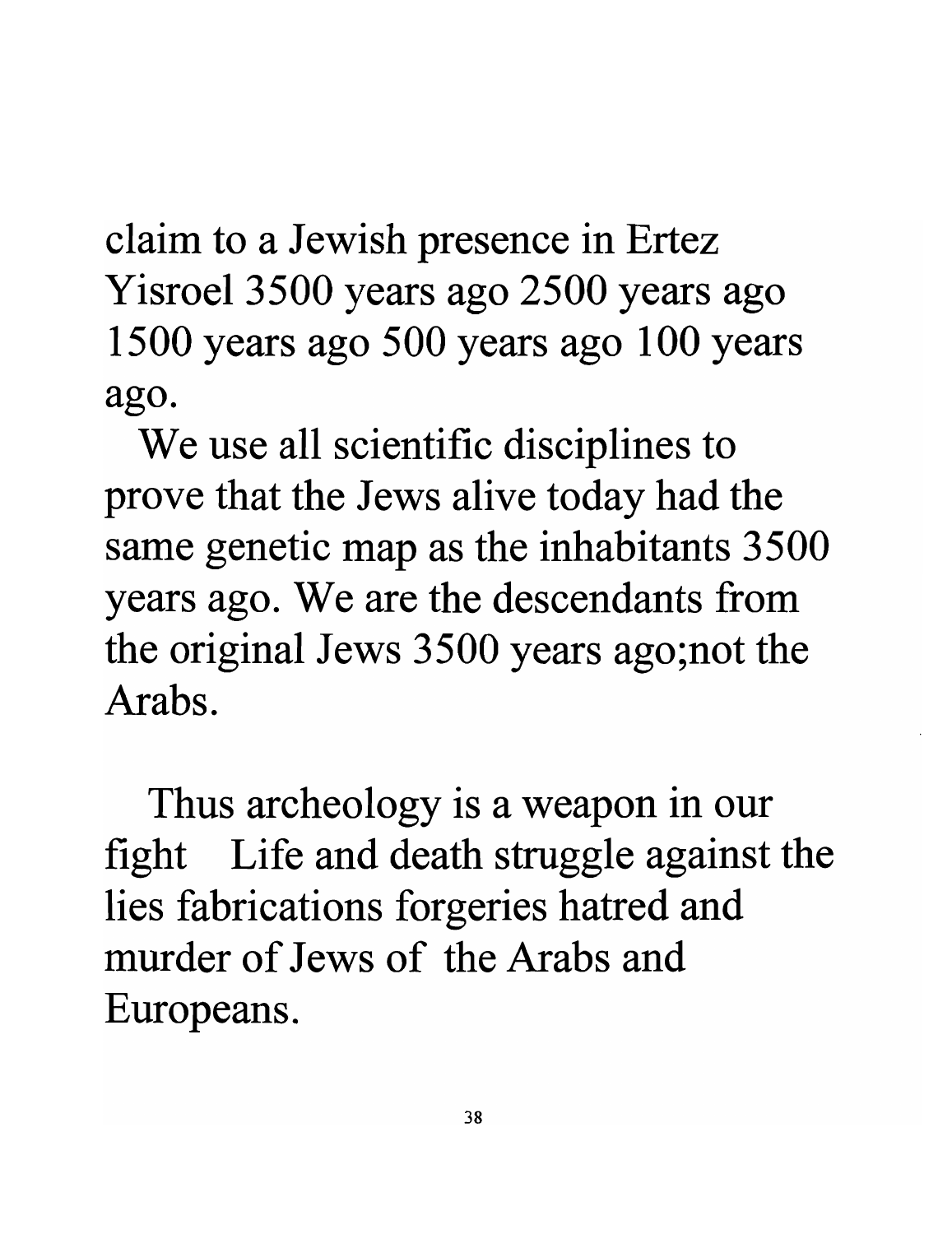claim to a Jewish presence in Ertez Yisroel 3500 years ago 2500 years ago 1500 years ago 500 years ago 100 years **ago.** 

We use all scientific disciplines to prove that the Jews alive today had the same genetic map as the inhabitants 3500 years ago. We are the descendants from the original Jews 3500 years ago;not the **Arabs.** 

Thus archeology is a weapon in our fight Life and death struggle against the lies fabrications forgeries hatred and **murder of Jews of the Arabs and**  Europeans.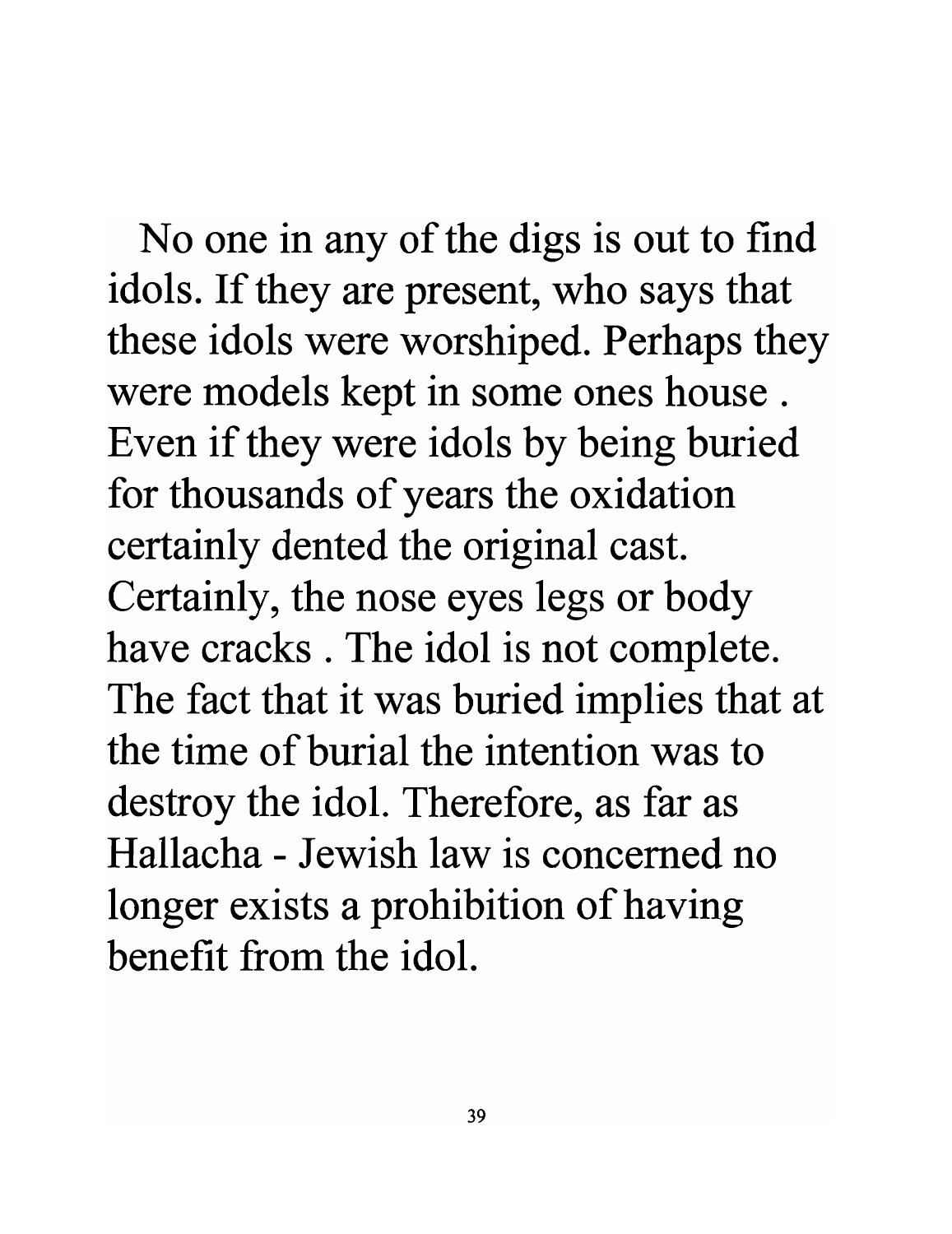No one in any of the digs is out to find idols. If they are present, who says that these idols were worshiped. Perhaps they were models kept in some ones house . Even if they were idols by being buried for thousands of years the oxidation certainly dented the original cast. Certainly, the nose eyes legs or body have cracks . The idol is not complete. The fact that it was buried implies that at **the time of burial the intention was to**  destroy the idol. Therefore, as far as **Hallacha - Jewish law is concerned no**  longer exists a prohibition of having **benefit from the idol.**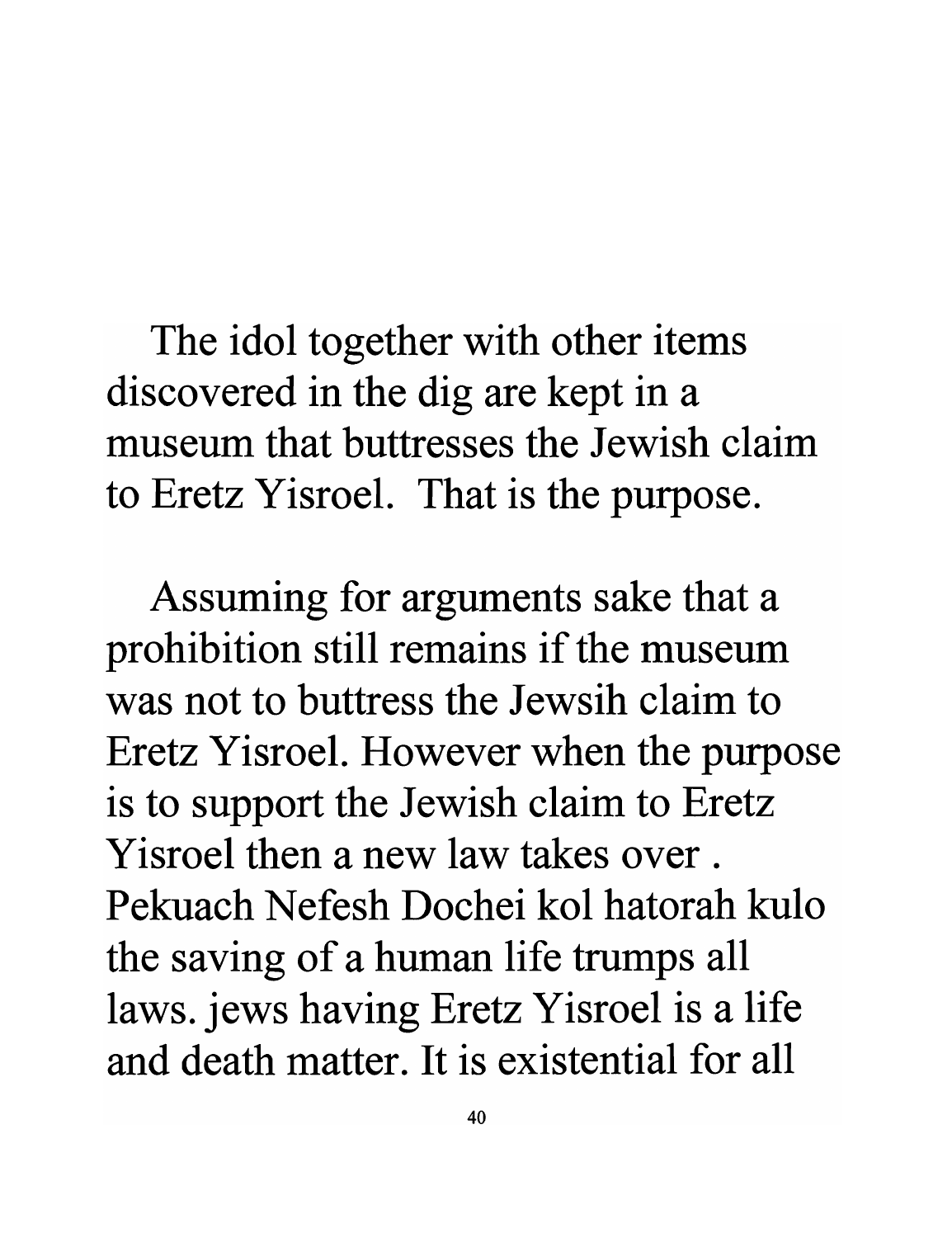The idol together with other items discovered in the dig are kept in a **museum that buttresses the Jewish claim**  to Eretz Yisroel. That is the purpose.

Assuming for arguments sake that a prohibition still remains if the museum was not to buttress the Jewsih claim to Eretz Yisroel. However when the purpose is to support the Jewish claim to Eretz **Yisroel then a new law takes over. Pekuach Nefesh Dochei kol hatorah kulo**  the saving of a human life trumps all laws. jews having Eretz Yisroel is a life **and death matter. It is existential for all**